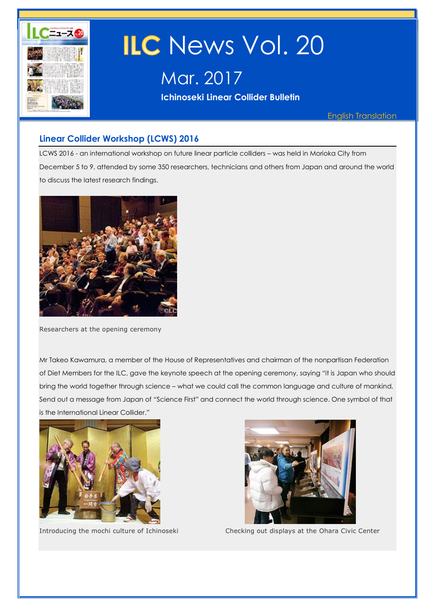

# ILC News Vol. 20

Mar. 2017

**Ichinoseki Linear Collider Bulletin** 

English Translation

# **Linear Collider Workshop (LCWS) 2016**

LCWS 2016 - an international workshop on future linear particle colliders – was held in Morioka City from December 5 to 9, attended by some 350 researchers, technicians and others from Japan and around the world to discuss the latest research findings.



Researchers at the opening ceremony

Mr Takeo Kawamura, a member of the House of Representatives and chairman of the nonpartisan Federation of Diet Members for the ILC, gave the keynote speech at the opening ceremony, saying "it is Japan who should bring the world together through science – what we could call the common language and culture of mankind. Send out a message from Japan of "Science First" and connect the world through science. One symbol of that is the International Linear Collider."





Introducing the mochi culture of Ichinoseki Checking out displays at the Ohara Civic Center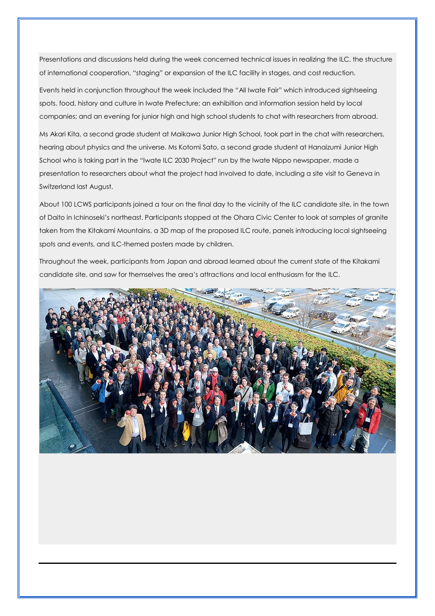Presentations and discussions held during the week concerned technical issues in realizing the ILC, the structure of international cooperation, "staging" or expansion of the ILC facility in stages, and cost reduction.

Events held in conjunction throughout the week included the "All Iwate Fair" which introduced sightseeing spots, food, history and culture in Iwate Prefecture; an exhibition and information session held by local companies; and an evening for junior high and high school students to chat with researchers from abroad.

Ms Akari Kita, a second grade student at Maikawa Junior High School, took part in the chat with researchers, hearing about physics and the universe. Ms Kotomi Sato, a second grade student at Hanaizumi Junior High School who is taking part in the "Iwate ILC 2030 Project" run by the Iwate Nippo newspaper, made a presentation to researchers about what the project had involved to date, including a site visit to Geneva in Switzerland last August.

About 100 LCWS participants joined a tour on the final day to the vicinity of the ILC candidate site, in the town of Daito in Ichinoseki's northeast. Participants stopped at the Ohara Civic Center to look at samples of granite taken from the Kitakami Mountains, a 3D map of the proposed ILC route, panels introducing local sightseeing spots and events, and ILC-themed posters made by children.

Throughout the week, participants from Japan and abroad learned about the current state of the Kitakami candidate site, and saw for themselves the area's attractions and local enthusiasm for the ILC.

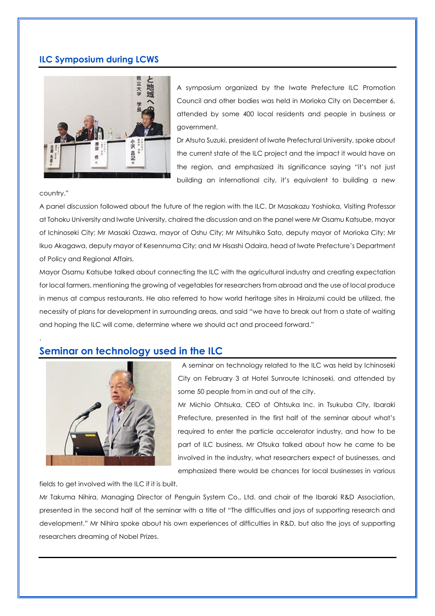# **ILC Symposium during LCWS**



A symposium organized by the Iwate Prefecture ILC Promotion Council and other bodies was held in Morioka City on December 6, attended by some 400 local residents and people in business or government.

Dr Atsuto Suzuki, president of Iwate Prefectural University, spoke about the current state of the ILC project and the impact it would have on the region, and emphasized its significance saying "it's not just building an international city, it's equivalent to building a new

country."

.

A panel discussion followed about the future of the region with the ILC. Dr Masakazu Yoshioka, Visiting Professor at Tohoku University and Iwate University, chaired the discussion and on the panel were Mr Osamu Katsube, mayor of Ichinoseki City; Mr Masaki Ozawa, mayor of Oshu City; Mr Mitsuhiko Sato, deputy mayor of Morioka City; Mr Ikuo Akagawa, deputy mayor of Kesennuma City; and Mr Hisashi Odaira, head of Iwate Prefecture's Department of Policy and Regional Affairs.

Mayor Osamu Katsube talked about connecting the ILC with the agricultural industry and creating expectation for local farmers, mentioning the growing of vegetables for researchers from abroad and the use of local produce in menus at campus restaurants. He also referred to how world heritage sites in Hiraizumi could be utilized, the necessity of plans for development in surrounding areas, and said "we have to break out from a state of waiting and hoping the ILC will come, determine where we should act and proceed forward."

# **Seminar on technology used in the ILC**



A seminar on technology related to the ILC was held by Ichinoseki City on February 3 at Hotel Sunroute Ichinoseki, and attended by some 50 people from in and out of the city.

Mr Michio Ohtsuka, CEO of Ohtsuka Inc. in Tsukuba City, Ibaraki Prefecture, presented in the first half of the seminar about what's required to enter the particle accelerator industry, and how to be part of ILC business. Mr Otsuka talked about how he came to be involved in the industry, what researchers expect of businesses, and emphasized there would be chances for local businesses in various

fields to get involved with the ILC if it is built.

Mr Takuma Nihira, Managing Director of Penguin System Co., Ltd. and chair of the Ibaraki R&D Association, presented in the second half of the seminar with a title of "The difficulties and joys of supporting research and development." Mr Nihira spoke about his own experiences of difficulties in R&D, but also the joys of supporting researchers dreaming of Nobel Prizes.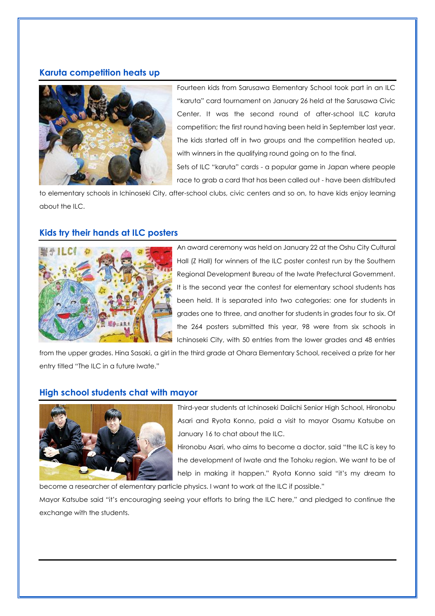## **Karuta competition heats up**



Fourteen kids from Sarusawa Elementary School took part in an ILC "karuta" card tournament on January 26 held at the Sarusawa Civic Center. It was the second round of after-school ILC karuta competition; the first round having been held in September last year. The kids started off in two groups and the competition heated up, with winners in the qualifying round going on to the final.

Sets of ILC "karuta" cards - a popular game in Japan where people race to grab a card that has been called out - have been distributed

to elementary schools in Ichinoseki City, after-school clubs, civic centers and so on, to have kids enjoy learning about the ILC.

## **Kids try their hands at ILC posters**



An award ceremony was held on January 22 at the Oshu City Cultural Hall (Z Hall) for winners of the ILC poster contest run by the Southern Regional Development Bureau of the Iwate Prefectural Government. It is the second year the contest for elementary school students has been held. It is separated into two categories: one for students in grades one to three, and another for students in grades four to six. Of the 264 posters submitted this year, 98 were from six schools in Ichinoseki City, with 50 entries from the lower grades and 48 entries

from the upper grades. Hina Sasaki, a girl in the third grade at Ohara Elementary School, received a prize for her entry titled "The ILC in a future Iwate."

## **High school students chat with mayor**



Third-year students at Ichinoseki Daiichi Senior High School, Hironobu Asari and Ryota Konno, paid a visit to mayor Osamu Katsube on January 16 to chat about the ILC.

Hironobu Asari, who aims to become a doctor, said "the ILC is key to the development of Iwate and the Tohoku region. We want to be of help in making it happen." Ryota Konno said "it's my dream to

become a researcher of elementary particle physics. I want to work at the ILC if possible."

Mayor Katsube said "it's encouraging seeing your efforts to bring the ILC here," and pledged to continue the exchange with the students.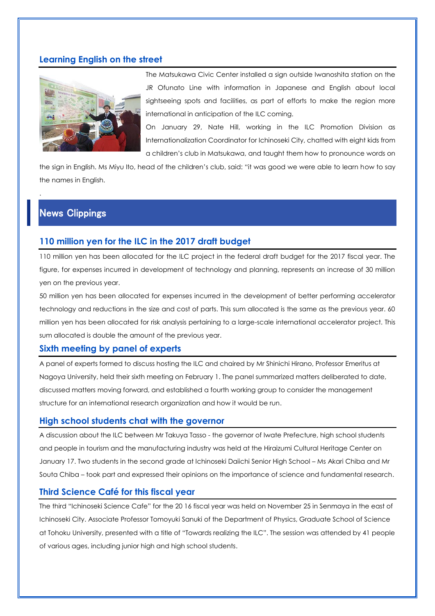#### **Learning English on the street**



The Matsukawa Civic Center installed a sign outside Iwanoshita station on the JR Ofunato Line with information in Japanese and English about local sightseeing spots and facilities, as part of efforts to make the region more international in anticipation of the ILC coming.

On January 29, Nate Hill, working in the ILC Promotion Division as Internationalization Coordinator for Ichinoseki City, chatted with eight kids from a children's club in Matsukawa, and taught them how to pronounce words on

the sign in English. Ms Miyu Ito, head of the children's club, said: "it was good we were able to learn how to say the names in English.

# News Clippings

.

#### **110 million yen for the ILC in the 2017 draft budget**

110 million yen has been allocated for the ILC project in the federal draft budget for the 2017 fiscal year. The figure, for expenses incurred in development of technology and planning, represents an increase of 30 million yen on the previous year.

50 million yen has been allocated for expenses incurred in the development of better performing accelerator technology and reductions in the size and cost of parts. This sum allocated is the same as the previous year. 60 million yen has been allocated for risk analysis pertaining to a large-scale international accelerator project. This sum allocated is double the amount of the previous year.

#### **Sixth meeting by panel of experts**

A panel of experts formed to discuss hosting the ILC and chaired by Mr Shinichi Hirano, Professor Emeritus at Nagoya University, held their sixth meeting on February 1. The panel summarized matters deliberated to date, discussed matters moving forward, and established a fourth working group to consider the management structure for an international research organization and how it would be run.

#### **High school students chat with the governor**

A discussion about the ILC between Mr Takuya Tasso - the governor of Iwate Prefecture, high school students and people in tourism and the manufacturing industry was held at the Hiraizumi Cultural Heritage Center on January 17. Two students in the second grade at Ichinoseki Daiichi Senior High School – Ms Akari Chiba and Mr Souta Chiba – took part and expressed their opinions on the importance of science and fundamental research.

#### **Third Science Café for this fiscal year**

The third "Ichinoseki Science Cafe" for the 20 16 fiscal year was held on November 25 in Senmaya in the east of Ichinoseki City. Associate Professor Tomoyuki Sanuki of the Department of Physics, Graduate School of Science at Tohoku University, presented with a title of "Towards realizing the ILC". The session was attended by 41 people of various ages, including junior high and high school students.